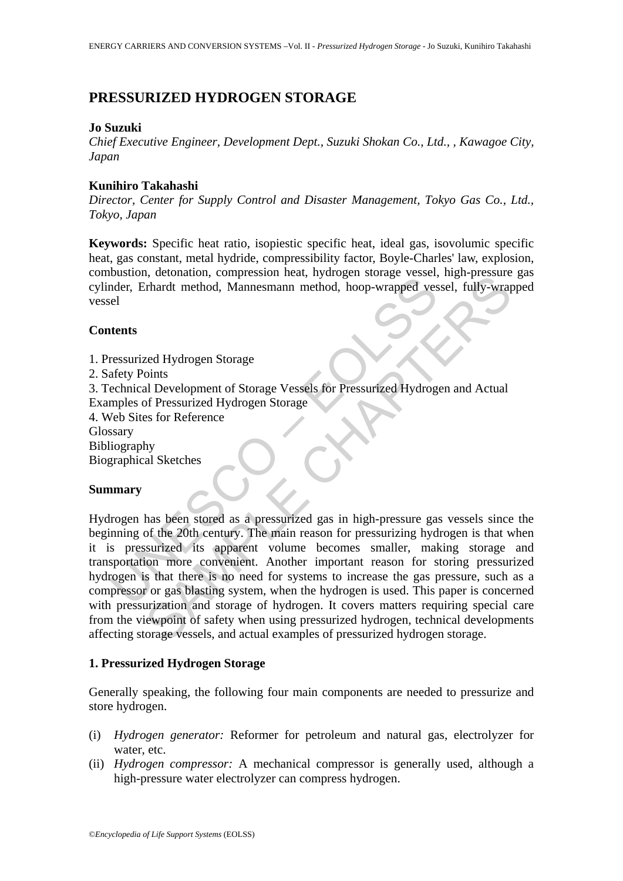# **PRESSURIZED HYDROGEN STORAGE**

#### **Jo Suzuki**

*Chief Executive Engineer, Development Dept., Suzuki Shokan Co., Ltd., , Kawagoe City, Japan* 

#### **Kunihiro Takahashi**

*Director, Center for Supply Control and Disaster Management, Tokyo Gas Co., Ltd., Tokyo, Japan* 

**Keywords:** Specific heat ratio, isopiestic specific heat, ideal gas, isovolumic specific heat, gas constant, metal hydride, compressibility factor, Boyle-Charles' law, explosion, combustion, detonation, compression heat, hydrogen storage vessel, high-pressure gas cylinder, Erhardt method, Mannesmann method, hoop-wrapped vessel, fully-wrapped vessel

## **Contents**

- 1. Pressurized Hydrogen Storage
- 2. Safety Points

3. Technical Development of Storage Vessels for Pressurized Hydrogen and Actual

- Examples of Pressurized Hydrogen Storage
- 4. Web Sites for Reference

Glossary

Bibliography

Biographical Sketches

## **Summary**

Example The properties and the hydrogen storage vessels for Pressurized Hydrogen Storage<br>
Then, Erhard method, Mannesmann method, hoop-wrapped ves<br>
ressurized Hydrogen Storage<br>
afety Points<br>
echnical Development of Storage resident method, Mannesmann method, hoop-wrapped vessel, impression-<br>thand method, Mannesmann method, hoop-wrapped vessel, fully-wrap<br>dial Development of Storage Vessels for Pressurized Hydrogen and Actual<br>of Pressurized H Hydrogen has been stored as a pressurized gas in high-pressure gas vessels since the beginning of the 20th century. The main reason for pressurizing hydrogen is that when it is pressurized its apparent volume becomes smaller, making storage and transportation more convenient. Another important reason for storing pressurized hydrogen is that there is no need for systems to increase the gas pressure, such as a compressor or gas blasting system, when the hydrogen is used. This paper is concerned with pressurization and storage of hydrogen. It covers matters requiring special care from the viewpoint of safety when using pressurized hydrogen, technical developments affecting storage vessels, and actual examples of pressurized hydrogen storage.

## **1. Pressurized Hydrogen Storage**

Generally speaking, the following four main components are needed to pressurize and store hydrogen.

- (i) *Hydrogen generator:* Reformer for petroleum and natural gas, electrolyzer for water, etc.
- (ii) *Hydrogen compressor:* A mechanical compressor is generally used, although a high-pressure water electrolyzer can compress hydrogen.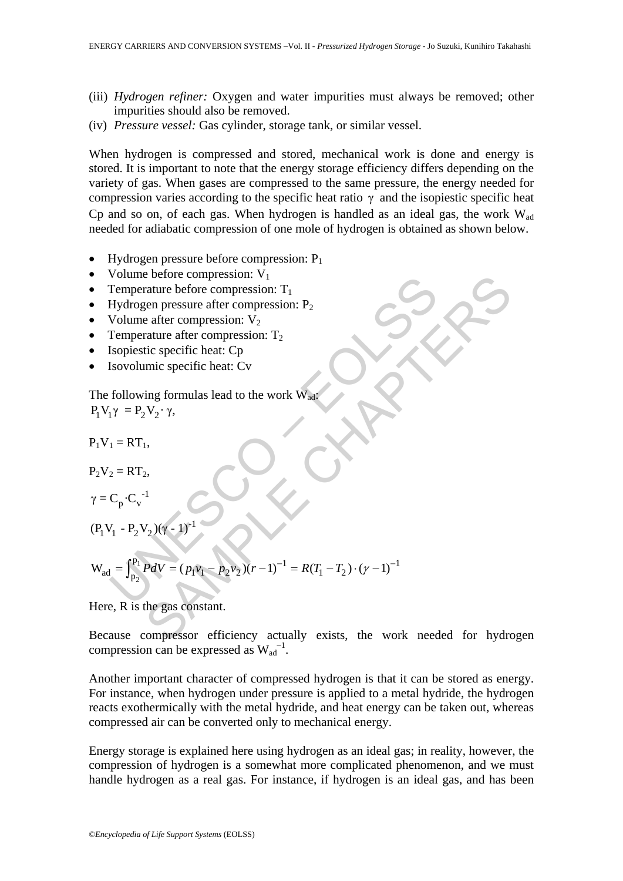- (iii) *Hydrogen refiner:* Oxygen and water impurities must always be removed; other impurities should also be removed.
- (iv) *Pressure vessel:* Gas cylinder, storage tank, or similar vessel.

When hydrogen is compressed and stored, mechanical work is done and energy is stored. It is important to note that the energy storage efficiency differs depending on the variety of gas. When gases are compressed to the same pressure, the energy needed for compression varies according to the specific heat ratio  $\gamma$  and the isopiestic specific heat Cp and so on, of each gas. When hydrogen is handled as an ideal gas, the work  $W_{ad}$ needed for adiabatic compression of one mole of hydrogen is obtained as shown below.

- Hydrogen pressure before compression:  $P_1$
- Volume before compression:  $V_1$
- Temperature before compression:  $T_1$
- Hydrogen pressure after compression:  $P_2$
- Volume after compression:  $V_2$
- Temperature after compression:  $T_2$
- Isopiestic specific heat: Cp
- Isovolumic specific heat: Cv

The following formulas lead to the work  $\hat{W}_{ad}$ :  $P_1 V_1 \gamma = P_2 V_2 \cdot \gamma$ ,

-1

 $P_1V_1 = RT_1$ ,

$$
P_2V_2 = RT_2,
$$

$$
\gamma = C_p \cdot C_v^{-1}
$$

$$
(P_1V_1 - P_2V_2)(\gamma - 1)^{-1}
$$

Volume before compression: V<sub>1</sub>

\nTemperature before compression: T<sub>1</sub>

\nHydrogen pressure after compression: P<sub>2</sub>

\nVolume after compression: V<sub>2</sub>

\nTemperature after compression: T<sub>2</sub>

\nIsopiestic specific heat: Cp

\nIsovolume specific heat: Cp

\nThe following formulas lead to the work W<sub>adj</sub>

\nP<sub>1</sub>V<sub>1</sub> = RT<sub>1</sub>

\nP<sub>2</sub>V<sub>2</sub> = RT<sub>2</sub>

\nP<sub>1</sub>V<sub>1</sub> = RT<sub>1</sub>

\nP<sub>2</sub>V<sub>2</sub> = RT<sub>2</sub>

\nγ = C<sub>p</sub>·C<sub>v</sub><sup>-1</sup>

\n(P<sub>1</sub>V<sub>1</sub> - P<sub>2</sub>V<sub>2</sub>)(γ - 1)<sup>-1</sup>

\nW<sub>ad</sub> = 
$$
\int_{P_2}^{P_1} P dV = (p_1v_1 - p_2v_2)(r - 1)^{-1} = R(T_1 - T_2) \cdot (γ - 1)^{-1}
$$
\nHere, R is the gas constant.

\nBecause compression efficiency actually exists, the work needed for hydrogen

Here, R is the gas constant.

Because compressor efficiency actually exists, the work needed for hydrogen compression can be expressed as  $W_{ad}^{-1}$ .

Another important character of compressed hydrogen is that it can be stored as energy. For instance, when hydrogen under pressure is applied to a metal hydride, the hydrogen reacts exothermically with the metal hydride, and heat energy can be taken out, whereas compressed air can be converted only to mechanical energy.

Energy storage is explained here using hydrogen as an ideal gas; in reality, however, the compression of hydrogen is a somewhat more complicated phenomenon, and we must handle hydrogen as a real gas. For instance, if hydrogen is an ideal gas, and has been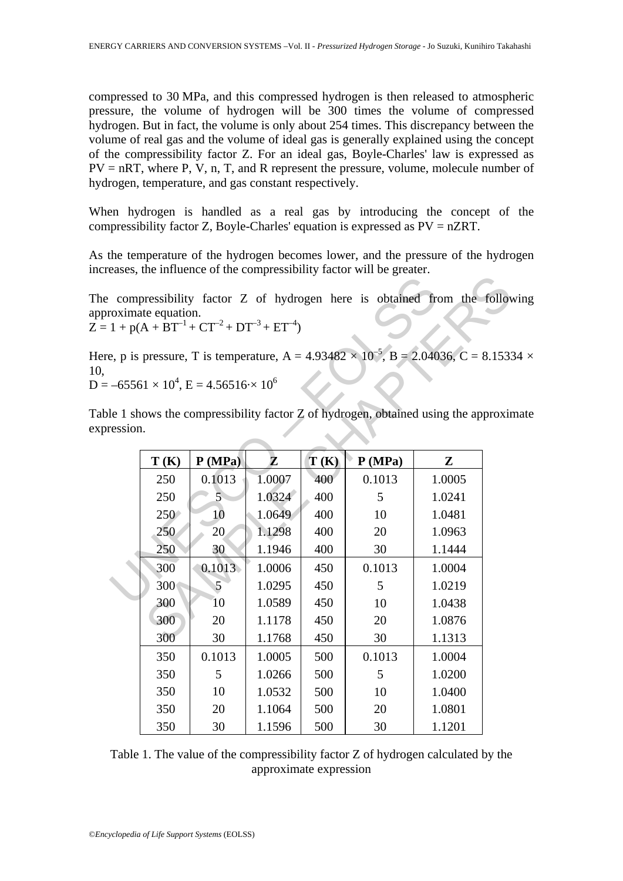compressed to 30 MPa, and this compressed hydrogen is then released to atmospheric pressure, the volume of hydrogen will be 300 times the volume of compressed hydrogen. But in fact, the volume is only about 254 times. This discrepancy between the volume of real gas and the volume of ideal gas is generally explained using the concept of the compressibility factor Z. For an ideal gas, Boyle-Charles' law is expressed as  $PV = nRT$ , where P, V, n, T, and R represent the pressure, volume, molecule number of hydrogen, temperature, and gas constant respectively.

When hydrogen is handled as a real gas by introducing the concept of the compressibility factor Z, Boyle-Charles' equation is expressed as PV = nZRT.

As the temperature of the hydrogen becomes lower, and the pressure of the hydrogen increases, the influence of the compressibility factor will be greater.

The compressibility factor Z of hydrogen here is obtained from the following approximate equation.  $Z = 1 + p(A + BT^{-1} + CT^{-2} + DT^{-3} + ET^{-4})$ 

Here, p is pressure, T is temperature,  $A = 4.93482 \times 10^{-5}$ ,  $B = 2.04036$ ,  $C = 8.15334 \times 10^{-5}$ 10,  $D = -65561 \times 10^4$ ,  $E = 4.56516 \times 10^6$ 

| Table 1 shows the compressibility factor Z of hydrogen, obtained using the approximate |  |  |
|----------------------------------------------------------------------------------------|--|--|
| expression.                                                                            |  |  |
|                                                                                        |  |  |

|          |                    |                                                        |        |      | compressibility factor Z of hydrogen here is obtained from the follow                           |           |  |
|----------|--------------------|--------------------------------------------------------|--------|------|-------------------------------------------------------------------------------------------------|-----------|--|
|          | roximate equation. | $1 + p(A + BT^{-1} + CT^{-2} + DT^{-3} + ET^{-4})$     |        |      |                                                                                                 |           |  |
|          |                    |                                                        |        |      | e, p is pressure, T is temperature, A = $4.93482 \times 10^{-5}$ , B = $2.04036$ , C = $8.1533$ |           |  |
|          |                    | $-65561 \times 10^4$ , E = 4.56516 $\cdot \times 10^6$ |        |      |                                                                                                 |           |  |
| ression. |                    |                                                        |        |      | le 1 shows the compressibility factor Z of hydrogen, obtained using the approxing               |           |  |
|          | T(K)               | P(MPa)                                                 | Z      | T(K) | P(MPa)                                                                                          | ${\bf z}$ |  |
|          | 250                | 0.1013                                                 | 1.0007 | 400  | 0.1013                                                                                          | 1.0005    |  |
|          | 250                | 5 <sup>1</sup>                                         | 1.0324 | 400  | 5                                                                                               | 1.0241    |  |
|          | 250                | 10                                                     | 1.0649 | 400  | 10                                                                                              | 1.0481    |  |
|          | 250                | 20                                                     | 1.1298 | 400  | 20                                                                                              | 1.0963    |  |
|          | 250                | 30                                                     | 1.1946 | 400  | 30                                                                                              | 1.1444    |  |
|          | 300                | 0.1013                                                 | 1.0006 | 450  | 0.1013                                                                                          | 1.0004    |  |
|          | 300                | 5                                                      | 1.0295 | 450  | 5                                                                                               | 1.0219    |  |
|          | 300                | 10                                                     | 1.0589 | 450  | 10                                                                                              | 1.0438    |  |
|          | 300                | 20                                                     | 1.1178 | 450  | 20                                                                                              | 1.0876    |  |
|          | 300                | 30                                                     | 1.1768 | 450  | 30                                                                                              | 1.1313    |  |
|          | 350                | 0.1013                                                 | 1.0005 | 500  | 0.1013                                                                                          | 1.0004    |  |
|          | 350                | 5                                                      | 1.0266 | 500  | 5                                                                                               | 1.0200    |  |
|          | 350                | 10                                                     | 1.0532 | 500  | 10                                                                                              | 1.0400    |  |
|          | 350                | 20                                                     | 1.1064 | 500  | 20                                                                                              | 1.0801    |  |
|          | 350                | 30                                                     | 1.1596 | 500  | 30                                                                                              | 1.1201    |  |
|          |                    |                                                        |        |      |                                                                                                 |           |  |

Table 1. The value of the compressibility factor Z of hydrogen calculated by the approximate expression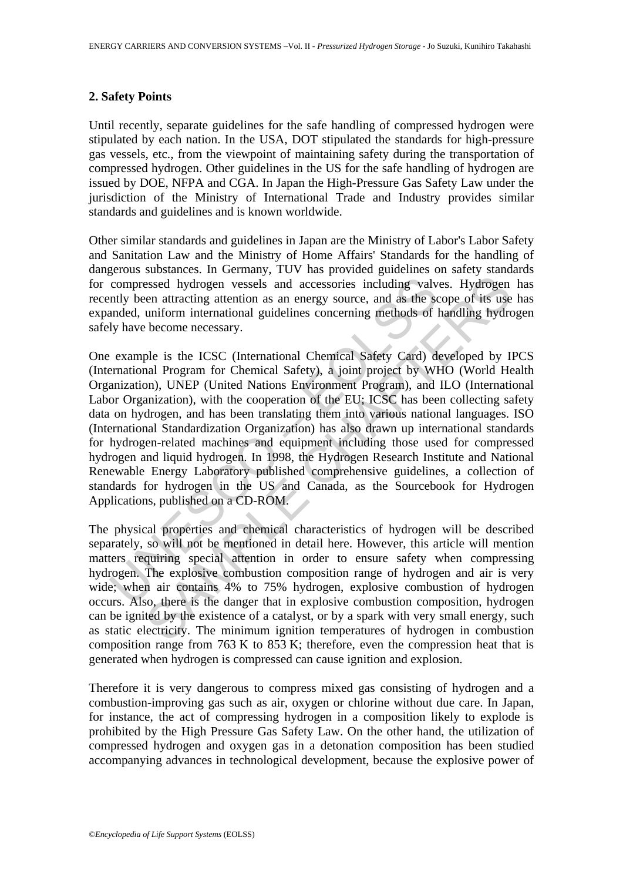#### **2. Safety Points**

Until recently, separate guidelines for the safe handling of compressed hydrogen were stipulated by each nation. In the USA, DOT stipulated the standards for high-pressure gas vessels, etc., from the viewpoint of maintaining safety during the transportation of compressed hydrogen. Other guidelines in the US for the safe handling of hydrogen are issued by DOE, NFPA and CGA. In Japan the High-Pressure Gas Safety Law under the jurisdiction of the Ministry of International Trade and Industry provides similar standards and guidelines and is known worldwide.

Other similar standards and guidelines in Japan are the Ministry of Labor's Labor Safety and Sanitation Law and the Ministry of Home Affairs' Standards for the handling of dangerous substances. In Germany, TUV has provided guidelines on safety standards for compressed hydrogen vessels and accessories including valves. Hydrogen has recently been attracting attention as an energy source, and as the scope of its use has expanded, uniform international guidelines concerning methods of handling hydrogen safely have become necessary.

compressed hydrogen vessels and accessories including valves and the analy been attracting attention as an energy source, and as the sense and the same and the same and the same and the same become necessary.<br>
Example is t essed hydrogen vessels and accessories including valves. Hydrogen en attracting attention as an energy source, and as the scope of its use uniform international guidelines concerning methods of handling hydre become necess One example is the ICSC (International Chemical Safety Card) developed by IPCS (International Program for Chemical Safety), a joint project by WHO (World Health Organization), UNEP (United Nations Environment Program), and ILO (International Labor Organization), with the cooperation of the EU; ICSC has been collecting safety data on hydrogen, and has been translating them into various national languages. ISO (International Standardization Organization) has also drawn up international standards for hydrogen-related machines and equipment including those used for compressed hydrogen and liquid hydrogen. In 1998, the Hydrogen Research Institute and National Renewable Energy Laboratory published comprehensive guidelines, a collection of standards for hydrogen in the US and Canada, as the Sourcebook for Hydrogen Applications, published on a CD-ROM.

The physical properties and chemical characteristics of hydrogen will be described separately, so will not be mentioned in detail here. However, this article will mention matters requiring special attention in order to ensure safety when compressing hydrogen. The explosive combustion composition range of hydrogen and air is very wide; when air contains 4% to 75% hydrogen, explosive combustion of hydrogen occurs. Also, there is the danger that in explosive combustion composition, hydrogen can be ignited by the existence of a catalyst, or by a spark with very small energy, such as static electricity. The minimum ignition temperatures of hydrogen in combustion composition range from 763 K to 853 K; therefore, even the compression heat that is generated when hydrogen is compressed can cause ignition and explosion.

Therefore it is very dangerous to compress mixed gas consisting of hydrogen and a combustion-improving gas such as air, oxygen or chlorine without due care. In Japan, for instance, the act of compressing hydrogen in a composition likely to explode is prohibited by the High Pressure Gas Safety Law. On the other hand, the utilization of compressed hydrogen and oxygen gas in a detonation composition has been studied accompanying advances in technological development, because the explosive power of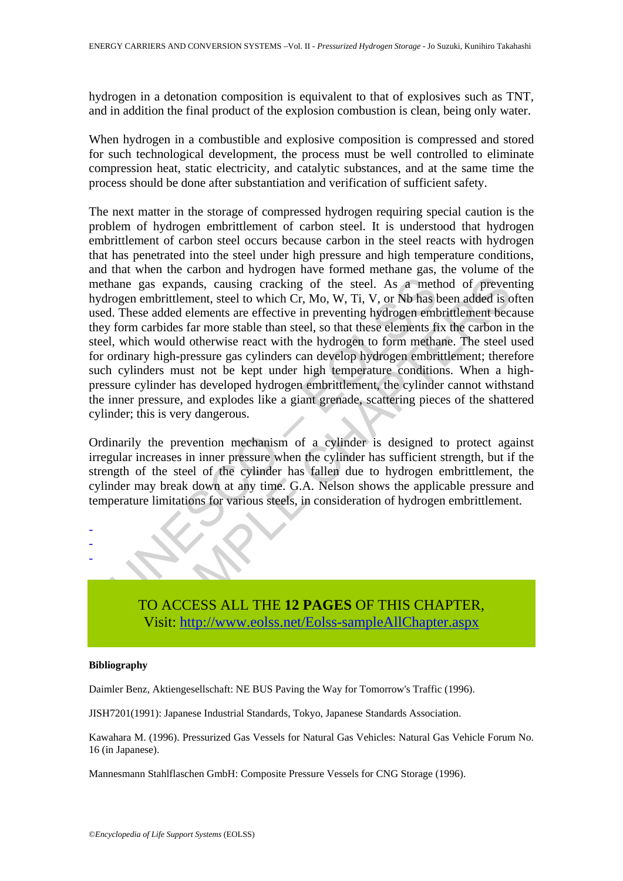hydrogen in a detonation composition is equivalent to that of explosives such as TNT, and in addition the final product of the explosion combustion is clean, being only water.

When hydrogen in a combustible and explosive composition is compressed and stored for such technological development, the process must be well controlled to eliminate compression heat, static electricity, and catalytic substances, and at the same time the process should be done after substantiation and verification of sufficient safety.

hane gas expands, causing cracking of the steel. As a method more gas expands, causing cracking of the steel. As a method more dial, which Cr, Mo, W, Ti, V, or Nb has latter than the form carbides far more stable than stee as expands, causing cracking of the steel. As a method of prevent<br>mbrittlement, steel to which Cr, Mo, W, Ti, V, or Nb has been added is o<br>as expands, causing cracking of the steel. As a method of prevent<br>mbrittlement tect The next matter in the storage of compressed hydrogen requiring special caution is the problem of hydrogen embrittlement of carbon steel. It is understood that hydrogen embrittlement of carbon steel occurs because carbon in the steel reacts with hydrogen that has penetrated into the steel under high pressure and high temperature conditions, and that when the carbon and hydrogen have formed methane gas, the volume of the methane gas expands, causing cracking of the steel. As a method of preventing hydrogen embrittlement, steel to which Cr, Mo, W, Ti, V, or Nb has been added is often used. These added elements are effective in preventing hydrogen embrittlement because they form carbides far more stable than steel, so that these elements fix the carbon in the steel, which would otherwise react with the hydrogen to form methane. The steel used for ordinary high-pressure gas cylinders can develop hydrogen embrittlement; therefore such cylinders must not be kept under high temperature conditions. When a highpressure cylinder has developed hydrogen embrittlement, the cylinder cannot withstand the inner pressure, and explodes like a giant grenade, scattering pieces of the shattered cylinder; this is very dangerous.

Ordinarily the prevention mechanism of a cylinder is designed to protect against irregular increases in inner pressure when the cylinder has sufficient strength, but if the strength of the steel of the cylinder has fallen due to hydrogen embrittlement, the cylinder may break down at any time. G.A. Nelson shows the applicable pressure and temperature limitations for various steels, in consideration of hydrogen embrittlement.



#### **Bibliography**

- - -

Daimler Benz, Aktiengesellschaft: NE BUS Paving the Way for Tomorrow's Traffic (1996).

JISH7201(1991): Japanese Industrial Standards, Tokyo, Japanese Standards Association.

Kawahara M. (1996). Pressurized Gas Vessels for Natural Gas Vehicles: Natural Gas Vehicle Forum No. 16 (in Japanese).

Mannesmann Stahlflaschen GmbH: Composite Pressure Vessels for CNG Storage (1996).